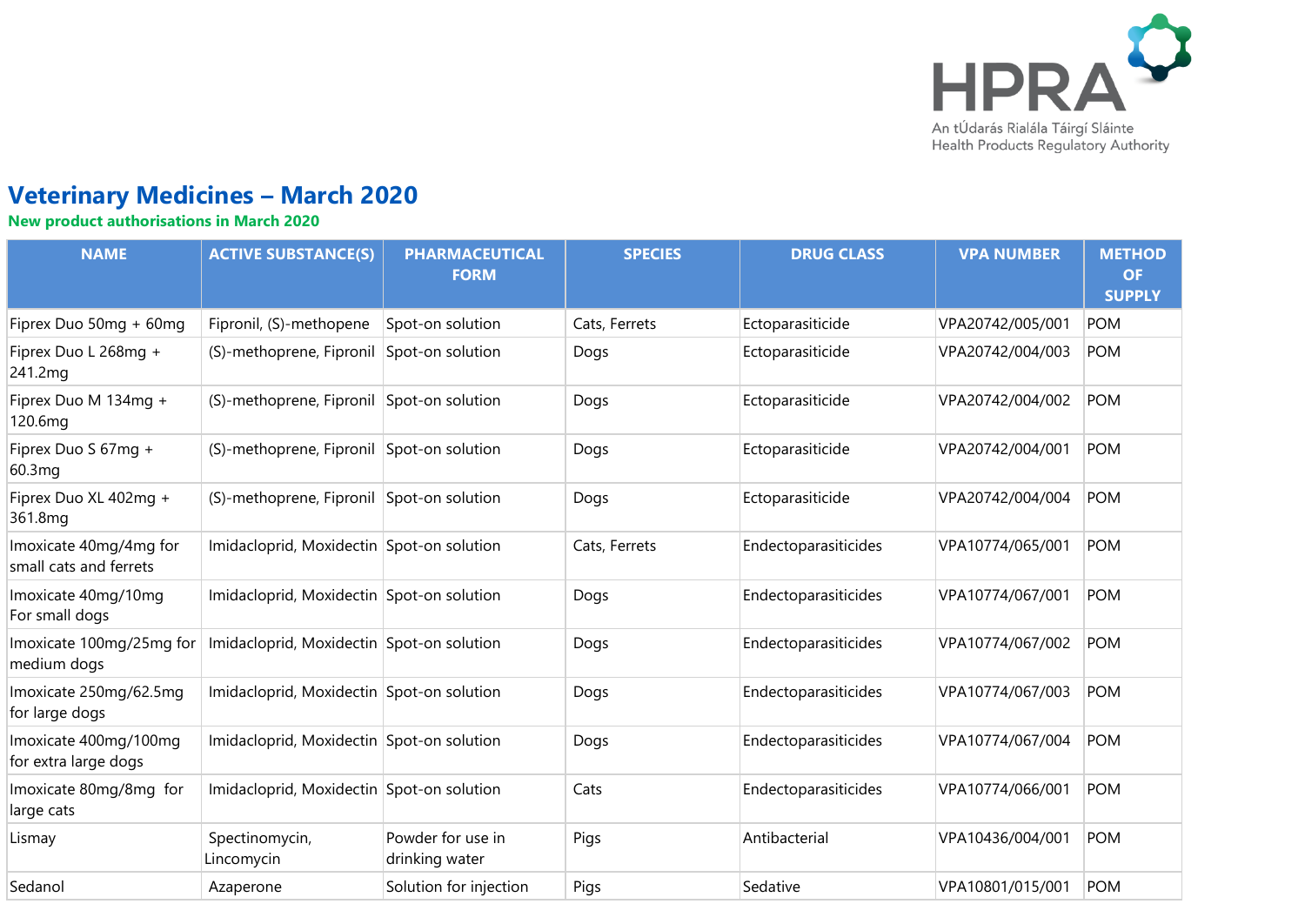

# **Veterinary Medicines – March 2020**

**New product authorisations in March 2020**

| <b>NAME</b>                                      | <b>ACTIVE SUBSTANCE(S)</b>                | <b>PHARMACEUTICAL</b><br><b>FORM</b> | <b>SPECIES</b> | <b>DRUG CLASS</b>    | <b>VPA NUMBER</b> | <b>METHOD</b><br><b>OF</b><br><b>SUPPLY</b> |
|--------------------------------------------------|-------------------------------------------|--------------------------------------|----------------|----------------------|-------------------|---------------------------------------------|
| Fiprex Duo 50mg + 60mg                           | Fipronil, (S)-methopene                   | Spot-on solution                     | Cats, Ferrets  | Ectoparasiticide     | VPA20742/005/001  | <b>POM</b>                                  |
| Fiprex Duo L 268mg +<br>241.2mg                  | (S)-methoprene, Fipronil Spot-on solution |                                      | Dogs           | Ectoparasiticide     | VPA20742/004/003  | <b>POM</b>                                  |
| Fiprex Duo M 134mg +<br>120.6mg                  | (S)-methoprene, Fipronil Spot-on solution |                                      | Dogs           | Ectoparasiticide     | VPA20742/004/002  | <b>POM</b>                                  |
| Fiprex Duo S 67mg +<br>60.3mg                    | (S)-methoprene, Fipronil Spot-on solution |                                      | Dogs           | Ectoparasiticide     | VPA20742/004/001  | <b>POM</b>                                  |
| Fiprex Duo XL 402mg +<br>361.8mg                 | (S)-methoprene, Fipronil Spot-on solution |                                      | Dogs           | Ectoparasiticide     | VPA20742/004/004  | <b>POM</b>                                  |
| Imoxicate 40mg/4mg for<br>small cats and ferrets | Imidacloprid, Moxidectin Spot-on solution |                                      | Cats, Ferrets  | Endectoparasiticides | VPA10774/065/001  | <b>POM</b>                                  |
| Imoxicate 40mg/10mg<br>For small dogs            | Imidacloprid, Moxidectin Spot-on solution |                                      | Dogs           | Endectoparasiticides | VPA10774/067/001  | <b>POM</b>                                  |
| Imoxicate 100mg/25mg for<br>medium dogs          | Imidacloprid, Moxidectin Spot-on solution |                                      | Dogs           | Endectoparasiticides | VPA10774/067/002  | <b>POM</b>                                  |
| Imoxicate 250mg/62.5mg<br>for large dogs         | Imidacloprid, Moxidectin Spot-on solution |                                      | Dogs           | Endectoparasiticides | VPA10774/067/003  | <b>POM</b>                                  |
| Imoxicate 400mg/100mg<br>for extra large dogs    | Imidacloprid, Moxidectin Spot-on solution |                                      | Dogs           | Endectoparasiticides | VPA10774/067/004  | <b>POM</b>                                  |
| Imoxicate 80mg/8mg for<br>large cats             | Imidacloprid, Moxidectin Spot-on solution |                                      | Cats           | Endectoparasiticides | VPA10774/066/001  | <b>POM</b>                                  |
| Lismay                                           | Spectinomycin,<br>Lincomycin              | Powder for use in<br>drinking water  | Pigs           | Antibacterial        | VPA10436/004/001  | <b>POM</b>                                  |
| Sedanol                                          | Azaperone                                 | Solution for injection               | Pigs           | Sedative             | VPA10801/015/001  | <b>POM</b>                                  |